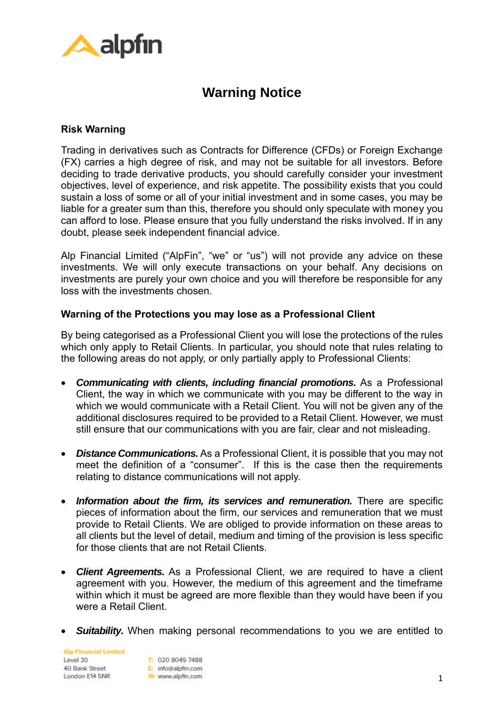

## **Warning Notice**

## **Risk Warning**

Trading in derivatives such as Contracts for Difference (CFDs) or Foreign Exchange (FX) carries a high degree of risk, and may not be suitable for all investors. Before deciding to trade derivative products, you should carefully consider your investment objectives, level of experience, and risk appetite. The possibility exists that you could sustain a loss of some or all of your initial investment and in some cases, you may be liable for a greater sum than this, therefore you should only speculate with money you can afford to lose. Please ensure that you fully understand the risks involved. If in any doubt, please seek independent financial advice.

Alp Financial Limited ("AlpFin", "we" or "us") will not provide any advice on these investments. We will only execute transactions on your behalf. Any decisions on investments are purely your own choice and you will therefore be responsible for any loss with the investments chosen.

## **Warning of the Protections you may lose as a Professional Client**

By being categorised as a Professional Client you will lose the protections of the rules which only apply to Retail Clients. In particular, you should note that rules relating to the following areas do not apply, or only partially apply to Professional Clients:

- *Communicating with clients, including financial promotions.* As a Professional Client, the way in which we communicate with you may be different to the way in which we would communicate with a Retail Client. You will not be given any of the additional disclosures required to be provided to a Retail Client. However, we must still ensure that our communications with you are fair, clear and not misleading.
- *Distance Communications.* As a Professional Client, it is possible that you may not meet the definition of a "consumer". If this is the case then the requirements relating to distance communications will not apply.
- *Information about the firm, its services and remuneration.* There are specific pieces of information about the firm, our services and remuneration that we must provide to Retail Clients. We are obliged to provide information on these areas to all clients but the level of detail, medium and timing of the provision is less specific for those clients that are not Retail Clients.
- *Client Agreements.* As a Professional Client, we are required to have a client agreement with you. However, the medium of this agreement and the timeframe within which it must be agreed are more flexible than they would have been if you were a Retail Client.
- **Suitability.** When making personal recommendations to you we are entitled to

**Alp Financial Limited** Lovel 30 40 Bank Street London E14 5NR

T: 020 8049 7488 E: info@alpfin.com W: www.alpfin.com